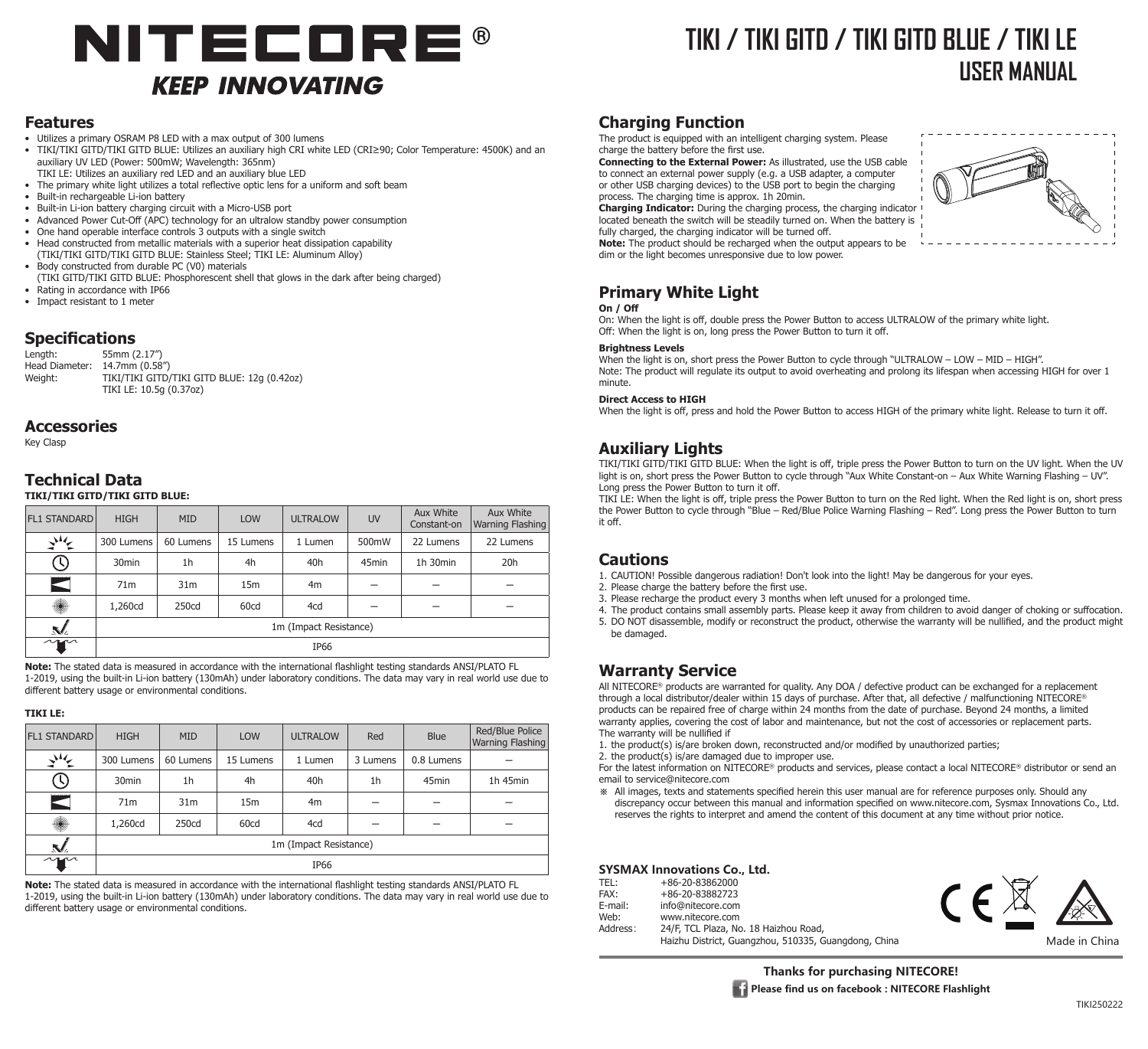# NITECORE® **KEEP INNOVATING**

## **TIKI / TIKI GITD / TIKI GITD BLUE / TIKI LE USER MANUAL**

#### **Features**

- Utilizes a primary OSRAM P8 LED with a max output of 300 lumens
- • TIKI/TIKI GITD/TIKI GITD BLUE: Utilizes an auxiliary high CRI white LED (CRI≥90; Color Temperature: 4500K) and an auxiliary UV LED (Power: 500mW; Wavelength: 365nm)
- TIKI LE: Utilizes an auxiliary red LED and an auxiliary blue LED
- The primary white light utilizes a total reflective optic lens for a uniform and soft beam Built-in rechargeable Li-ion battery
- 
- Built-in Li-ion battery charging circuit with a Micro-USB port Advanced Power Cut-Off (APC) technology for an ultralow standby power consumption
- One hand operable interface controls 3 outputs with a single switch
- Head constructed from metallic materials with a superior heat dissipation capability (TIKI/TIKI GITD/TIKI GITD BLUE: Stainless Steel; TIKI LE: Aluminum Alloy)
- Body constructed from durable PC (V0) materials
- (TIKI GITD/TIKI GITD BLUE: Phosphorescent shell that glows in the dark after being charged)
- Rating in accordance with IP66 • Impact resistant to 1 meter

## **Specifications**

55mm (2.17") Head Diameter: 14.7mm (0.58")<br>Weight: TIKI/TIKI GITD/ TIKI/TIKI GITD/TIKI GITD BLUE: 12g (0.42oz) TIKI LE: 10.5g (0.37oz)

#### **Accessories**

Key Clasp

#### **Technical Data TIKI/TIKI GITD/TIKI GITD BLUE:**

| <b>FL1 STANDARD</b> | <b>HIGH</b>            | <b>MID</b>      | <b>LOW</b>      | <b>ULTRALOW</b> | <b>UV</b>         | Aux White<br>Constant-on | Aux White<br>Warning Flashing |
|---------------------|------------------------|-----------------|-----------------|-----------------|-------------------|--------------------------|-------------------------------|
| 业气                  | 300 Lumens             | 60 Lumens       | 15 Lumens       | 1 Lumen         | 500mW             | 22 Lumens                | 22 Lumens                     |
| U)                  | 30 <sub>min</sub>      | 1h              | 4h              | 40h             | 45 <sub>min</sub> | 1h 30min                 | 20h                           |
|                     | 71 <sub>m</sub>        | 31 <sub>m</sub> | 15 <sub>m</sub> | 4m              |                   |                          |                               |
| ۱                   | 1,260cd                | 250cd           | 60cd            | 4cd             |                   |                          |                               |
| N.                  | 1m (Impact Resistance) |                 |                 |                 |                   |                          |                               |
| $\sim$              | IP66                   |                 |                 |                 |                   |                          |                               |

**Note:** The stated data is measured in accordance with the international flashlight testing standards ANSI/PLATO FL 1-2019, using the built-in Li-ion battery (130mAh) under laboratory conditions. The data may vary in real world use due to different battery usage or environmental conditions.

#### **TIKI LE:**

| <b>FL1 STANDARD</b> | <b>HIGH</b>            | <b>MID</b>      | <b>LOW</b>      | <b>ULTRALOW</b> | Red      | Blue              | Red/Blue Police<br><b>Warning Flashing</b> |
|---------------------|------------------------|-----------------|-----------------|-----------------|----------|-------------------|--------------------------------------------|
| ざそ                  | 300 Lumens             | 60 Lumens       | 15 Lumens       | 1 Lumen         | 3 Lumens | 0.8 Lumens        |                                            |
|                     | 30 <sub>min</sub>      | 1h              | 4h              | 40h             | 1h       | 45 <sub>min</sub> | 1h 45min                                   |
|                     | 71 <sub>m</sub>        | 31 <sub>m</sub> | 15 <sub>m</sub> | 4 <sub>m</sub>  |          |                   |                                            |
| ۱                   | 1,260cd                | 250cd           | 60cd            | 4cd             |          |                   |                                            |
| M                   | 1m (Impact Resistance) |                 |                 |                 |          |                   |                                            |
| $\sim$              | <b>IP66</b>            |                 |                 |                 |          |                   |                                            |

**Note:** The stated data is measured in accordance with the international flashlight testing standards ANSI/PLATO FL 1-2019, using the built-in Li-ion battery (130mAh) under laboratory conditions. The data may vary in real world use due to different battery usage or environmental conditions.

## **Charging Function**

The product is equipped with an intelligent charging system. Please charge the battery before the first use.

**Connecting to the External Power:** As illustrated, use the USB cable to connect an external power supply (e.g. a USB adapter, a computer or other USB charging devices) to the USB port to begin the charging process. The charging time is approx. 1h 20min.

**Charging Indicator:** During the charging process, the charging indicator located beneath the switch will be steadily turned on. When the battery is fully charged, the charging indicator will be turned off.

**Note:** The product should be recharged when the output appears to be dim or the light becomes unresponsive due to low power.

## **Primary White Light**

#### **On / Off**

On: When the light is off, double press the Power Button to access ULTRALOW of the primary white light. Off: When the light is on, long press the Power Button to turn it off.

#### **Brightness Levels**

When the light is on, short press the Power Button to cycle through "ULTRALOW – LOW – MID – HIGH". Note: The product will regulate its output to avoid overheating and prolong its lifespan when accessing HIGH for over 1 minute.

#### **Direct Access to HIGH**

When the light is off, press and hold the Power Button to access HIGH of the primary white light. Release to turn it off.

## **Auxiliary Lights**

TIKI/TIKI GITD/TIKI GITD BLUE: When the light is off, triple press the Power Button to turn on the UV light. When the UV light is on, short press the Power Button to cycle through "Aux White Constant-on – Aux White Warning Flashing – UV". Long press the Power Button to turn it off.

TIKI LE: When the light is off, triple press the Power Button to turn on the Red light. When the Red light is on, short press the Power Button to cycle through "Blue – Red/Blue Police Warning Flashing – Red". Long press the Power Button to turn it off.

#### **Cautions**

1. CAUTION! Possible dangerous radiation! Don't look into the light! May be dangerous for your eyes.

2. Please charge the battery before the first use.

3. Please recharge the product every 3 months when left unused for a prolonged time.

4. The product contains small assembly parts. Please keep it away from children to avoid danger of choking or suffocation.

5. DO NOT disassemble, modify or reconstruct the product, otherwise the warranty will be nullified, and the product might be damaged.

## **Warranty Service**

All NITECORE® products are warranted for quality. Any DOA / defective product can be exchanged for a replacement through a local distributor/dealer within 15 days of purchase. After that, all defective / malfunctioning NITECORE® products can be repaired free of charge within 24 months from the date of purchase. Beyond 24 months, a limited warranty applies, covering the cost of labor and maintenance, but not the cost of accessories or replacement parts. The warranty will be nullified if

1. the product(s) is/are broken down, reconstructed and/or modified by unauthorized parties;

2. the product(s) is/are damaged due to improper use.

For the latest information on NITECORE® products and services, please contact a local NITECORE® distributor or send an email to service@nitecore.com

※ All images, texts and statements specified herein this user manual are for reference purposes only. Should any discrepancy occur between this manual and information specified on www.nitecore.com, Sysmax Innovations Co., Ltd. reserves the rights to interpret and amend the content of this document at any time without prior notice.

#### **SYSMAX Innovations Co., Ltd.**

| TEL:<br>FAX:    | +86-20-83862000<br>+86-20-83882723                                                            |  |               |
|-----------------|-----------------------------------------------------------------------------------------------|--|---------------|
| E-mail:<br>Web: | info@nitecore.com<br>www.nitecore.com                                                         |  |               |
| Address:        | 24/F, TCL Plaza, No. 18 Haizhou Road,<br>Haizhu District, Guangzhou, 510335, Guangdong, China |  | Made in China |